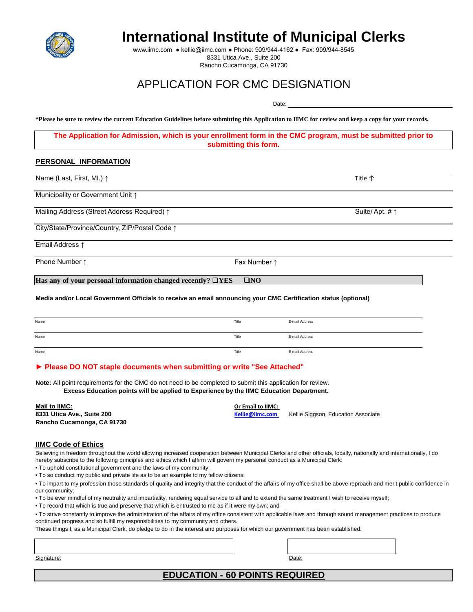

# **International Institute of Municipal Clerks**

www.iimc.com ● kellie@iimc.com ● Phone: 909/944-4162 ● Fax: 909/944-8545 8331 Utica Ave., Suite 200 Rancho Cucamonga, CA 91730

# APPLICATION FOR CMC DESIGNATION

Date:

**\*Please be sure to review the current Education Guidelines before submitting this Application to IIMC for review and keep a copy for your records.** 

**The Application for Admission, which is your enrollment form in the CMC program, must be submitted prior to submitting this form.** 

### **PERSONAL INFORMATION**

| Name (Last, First, MI.) ↑                      |              | <b>Title 个</b>          |  |
|------------------------------------------------|--------------|-------------------------|--|
| Municipality or Government Unit 1              |              |                         |  |
| Mailing Address (Street Address Required) 1    |              | Suite/Apt. # $\uparrow$ |  |
| City/State/Province/Country, ZIP/Postal Code 1 |              |                         |  |
| Email Address 1                                |              |                         |  |
| Phone Number 1                                 | Fax Number 1 |                         |  |

**Has any of your personal information changed recently?** ❑**YES** ❑**NO**

**Media and/or Local Government Officials to receive an email announcing your CMC Certification status (optional)** 

| Name | Title | E-mail Address |
|------|-------|----------------|
| Name | Title | E-mail Address |
| Name | Title | E-mail Address |

#### **► Please DO NOT staple documents when submitting or write "See Attached"**

**Note:** All point requirements for the CMC do not need to be completed to submit this application for review.  **Excess Education points will be applied to Experience by the IIMC Education Department.** 

**Mail to IIMC: Or Email to IIMC: Rancho Cucamonga, CA 91730**

# **IIMC Code of Ethics**

Believing in freedom throughout the world allowing increased cooperation between Municipal Clerks and other officials, locally, nationally and internationally, I do hereby subscribe to the following principles and ethics which I affirm will govern my personal conduct as a Municipal Clerk:

**8331 Utica Ave., Suite 200 [Kellie@iimc.com](mailto:Kellie@iimc.com#)** Kellie Siggson, Education Associate

• To uphold constitutional government and the laws of my community;

• To so conduct my public and private life as to be an example to my fellow citizens;

• To impart to my profession those standards of quality and integrity that the conduct of the affairs of my office shall be above reproach and merit public confidence in our community;

• To be ever mindful of my neutrality and impartiality, rendering equal service to all and to extend the same treatment I wish to receive myself;

• To record that which is true and preserve that which is entrusted to me as if it were my own; and

• To strive constantly to improve the administration of the affairs of my office consistent with applicable laws and through sound management practices to produce continued progress and so fulfill my responsibilities to my community and others.

These things I, as a Municipal Clerk, do pledge to do in the interest and purposes for which our government has been established.

Signature: Date: Date: Date: Date: Date: Date: Date: Date: Date: Date: Date: Date: Date: Date: Date: Date: Date: Date: Date: Date: Date: Date: Date: Date: Date: Date: Date: Date: Date: Date: Date: Date: Date: Date: Date: D

**EDUCATION - 60 POINTS REQUIRED**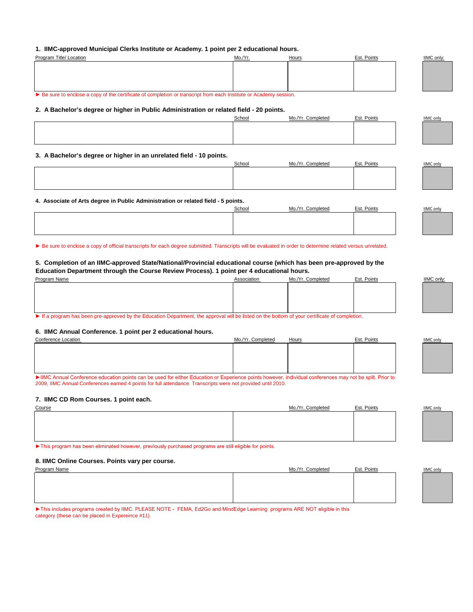## **1. IIMC-approved Municipal Clerks Institute or Academy. 1 point per 2 educational hours.**

| Program Title/ Location                                                                                                    | Mo./Yr. | Hours             | Est. Points | IIMC only:       |
|----------------------------------------------------------------------------------------------------------------------------|---------|-------------------|-------------|------------------|
|                                                                                                                            |         |                   |             |                  |
|                                                                                                                            |         |                   |             |                  |
|                                                                                                                            |         |                   |             |                  |
| Example 8 Be sure to enclose a copy of the certificate of completion or transcript from each Institute or Academy session. |         |                   |             |                  |
|                                                                                                                            |         |                   |             |                  |
| 2. A Bachelor's degree or higher in Public Administration or related field - 20 points.                                    |         |                   |             |                  |
|                                                                                                                            | School  | Mo./Yr. Completed | Est. Points | <b>IIMC only</b> |
|                                                                                                                            |         |                   |             |                  |
|                                                                                                                            |         |                   |             |                  |
|                                                                                                                            |         |                   |             |                  |
| 3. A Bachelor's degree or higher in an unrelated field - 10 points.                                                        |         |                   |             |                  |
|                                                                                                                            | School  | Mo./Yr. Completed | Est. Points | <b>IIMC</b> only |
|                                                                                                                            |         |                   |             |                  |
|                                                                                                                            |         |                   |             |                  |

**4. Associate of Arts degree in Public Administration or related field - 5 points.**

| School | ./Yr. Completed | Est. Points | <b>IIMC only</b><br><u> Termin a shekara ta 1989 na shekara ta 1989 na shekara ta 1989 na shekara ta 1989 na shekara ta 1989 na sheka</u> |
|--------|-----------------|-------------|-------------------------------------------------------------------------------------------------------------------------------------------|
|        |                 |             |                                                                                                                                           |
|        |                 |             |                                                                                                                                           |
|        |                 |             |                                                                                                                                           |

► Be sure to enclose a copy of official transcripts for each degree submitted. Transcripts will be evaluated in order to determine related versus unrelated.

#### **5. Completion of an IIMC-approved State/National/Provincial educational course (which has been pre-approved by the Education Department through the Course Review Process). 1 point per 4 educational hours.**

| Program Name                                                                                                                                 | Association | Mo./Yr. Completed | Est. Points |  | <b>IIMC only</b> |
|----------------------------------------------------------------------------------------------------------------------------------------------|-------------|-------------------|-------------|--|------------------|
|                                                                                                                                              |             |                   |             |  |                  |
|                                                                                                                                              |             |                   |             |  |                  |
|                                                                                                                                              |             |                   |             |  |                  |
|                                                                                                                                              |             |                   |             |  |                  |
| If a program has been pre-approved by the Education Department, the approval will be listed on the bottom of your certificate of completion. |             |                   |             |  |                  |

#### **6. IIMC Annual Conference. 1 point per 2 educational hours.**

| Conference Location                                                                                                                                     | Mo./Yr. Completed | Hours | Est. Points | <b>IIMC</b> only |
|---------------------------------------------------------------------------------------------------------------------------------------------------------|-------------------|-------|-------------|------------------|
|                                                                                                                                                         |                   |       |             |                  |
|                                                                                                                                                         |                   |       |             |                  |
|                                                                                                                                                         |                   |       |             |                  |
|                                                                                                                                                         |                   |       |             |                  |
| EllMC Appual Conference education points can be used for either Education or Evacrignee points beyover individual conferences may not be epit. Drier to |                   |       |             |                  |

►IIMC Annual Conference education points can be used for either Education or Experience points however, individual conferences may not be split. Prior to 2009, IIMC Annual Conferences earned 4 points for full attendance. Transcripts were not provided until 2010.

#### **7. IIMC CD Rom Courses. 1 point each.**

| Course | Mo./Yr. Completed | Est. Points | <b>IIMC</b> only |
|--------|-------------------|-------------|------------------|
|        |                   |             |                  |
|        |                   |             |                  |
|        |                   |             |                  |
|        |                   |             |                  |
|        |                   |             |                  |

►This program has been eliminated however, previously purchased programs are still eligible for points.

### **8. IIMC Online Courses. Points vary per course.**

| Program Name | Mo./Yr. Completed | Est. Points | <b>IIMC</b> only |
|--------------|-------------------|-------------|------------------|
|              |                   |             |                  |
|              |                   |             |                  |
|              |                   |             |                  |
|              |                   |             |                  |
|              |                   |             |                  |
|              |                   |             |                  |

►This includes programs created by IIMC. PLEASE NOTE - FEMA, Ed2Go and MindEdge Learning programs ARE NOT eligible in this category (these can be placed in Expereince #11).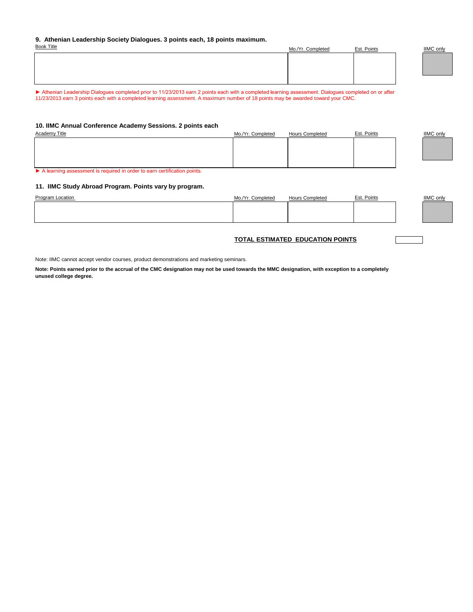#### **9. Athenian Leadership Society Dialogues. 3 points each, 18 points maximum.**

| <b>Book Title</b> | Mo./Yr. Completed | Est. Points | <b>IIMC</b> only |
|-------------------|-------------------|-------------|------------------|
|                   |                   |             |                  |
|                   |                   |             |                  |
|                   |                   |             |                  |
|                   |                   |             |                  |

► Athenian Leadership Dialogues completed prior to 11/23/2013 earn 2 points each with a completed learning assessment. Dialogues completed on or after 11/23/2013 earn 3 points each with a completed learning assessment. A maximum number of 18 points may be awarded toward your CMC.

#### **10. IIMC Annual Conference Academy Sessions. 2 points each**

| Academy Title | Mo./Yr. Completed | <b>Hours Completed</b> | Est. Points | <b>IIMC</b> only |
|---------------|-------------------|------------------------|-------------|------------------|
|               |                   |                        |             |                  |
|               |                   |                        |             |                  |
|               |                   |                        |             |                  |
|               |                   |                        |             |                  |

▶ A learning assessment is required in order to earn certification points.

### **11. IIMC Study Abroad Program. Points vary by program.**

| <b>Program Location</b> | Mo./Yr. Completed | <b>Hours Completed</b> | Est. Points | <b>IIMC</b> only |
|-------------------------|-------------------|------------------------|-------------|------------------|
|                         |                   |                        |             |                  |
|                         |                   |                        |             |                  |
|                         |                   |                        |             |                  |

## **TOTAL ESTIMATED EDUCATION POINTS**

Note: IIMC cannot accept vendor courses, product demonstrations and marketing seminars.

**Note: Points earned prior to the accrual of the CMC designation may not be used towards the MMC designation, with exception to a completely unused college degree.**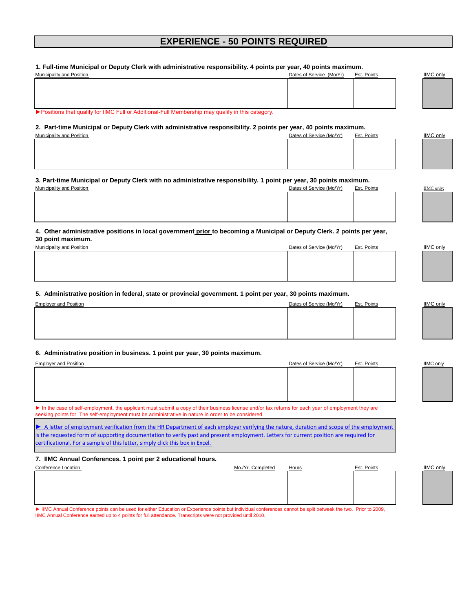# **EXPERIENCE - 50 POINTS REQUIRED**

#### **1. Full-time Municipal or Deputy Clerk with administrative responsibility. 4 points per year, 40 points maximum.**

| Municipality and Position                                                                          | Dates of Service (Mo/Yr) | Est. Points |  | <b>IIMC only</b> |
|----------------------------------------------------------------------------------------------------|--------------------------|-------------|--|------------------|
|                                                                                                    |                          |             |  |                  |
|                                                                                                    |                          |             |  |                  |
|                                                                                                    |                          |             |  |                  |
|                                                                                                    |                          |             |  |                  |
| ► Positions that qualify for IIMC Full or Additional-Full Membership may qualify in this category. |                          |             |  |                  |

**2. Part-time Municipal or Deputy Clerk with administrative responsibility. 2 points per year, 40 points maximum.**

| Municipality and Position | Dates of Service (Mo/Yr) | Est. Points | IIMC only |
|---------------------------|--------------------------|-------------|-----------|
|                           |                          |             |           |
|                           |                          |             |           |
|                           |                          |             |           |
|                           |                          |             |           |
|                           |                          |             |           |

# **3. Part-time Municipal or Deputy Clerk with no administrative responsibility. 1 point per year, 30 points maximum.**

| Municipality and Position | Dates of Service (Mo/Yr) | Est. Points | <b>IIMC</b> only |
|---------------------------|--------------------------|-------------|------------------|
|                           |                          |             |                  |
|                           |                          |             |                  |
|                           |                          |             |                  |
|                           |                          |             |                  |
|                           |                          |             |                  |

## **4. Other administrative positions in local government prior to becoming a Municipal or Deputy Clerk. 2 points per year, 30 point maximum.**

| Municipality and Position | Dates of Service (Mo/Yr)<br>Est. Points | IIMC only |
|---------------------------|-----------------------------------------|-----------|
|                           |                                         |           |
|                           |                                         |           |
|                           |                                         |           |
|                           |                                         |           |

#### **5. Administrative position in federal, state or provincial government. 1 point per year, 30 points maximum.**

| <b>Employer and Position</b> | Dates of Service (Mo/Yr) | Est. Points | <b>IIMC</b> only |
|------------------------------|--------------------------|-------------|------------------|
|                              |                          |             |                  |
|                              |                          |             |                  |
|                              |                          |             |                  |
|                              |                          |             |                  |
|                              |                          |             |                  |

#### **6. Administrative position in business. 1 point per year, 30 points maximum.**

| <b>Employer and Position</b> | Dates of Service (Mo/Yr) | Est. Points | <b>IIMC only</b> |
|------------------------------|--------------------------|-------------|------------------|
|                              |                          |             |                  |
|                              |                          |             |                  |
|                              |                          |             |                  |
|                              |                          |             |                  |
|                              |                          |             |                  |

► In the case of self-employment, the applicant must submit a copy of their business license and/or tax returns for each year of employment they are seeking points for. The self-employment must be administrative in nature in order to be considered.

► A letter of employment verification from the HR Department of each employer verifying the nature, duration and scope of the employment [is the requested form of supporting documentation to verify past and present e](http://iimc.com/DocumentView.aspx?DID=692#)mployment. Letters for current position are required for [certificational. For a sample of this letter, simply click this box in Excel.](http://iimc.com/DocumentView.aspx?DID=692#) 

#### **7. IIMC Annual Conferences. 1 point per 2 educational hours.**

| Conference Location | Mo./Yr. Completed | Hours | Est. Points | <b>IIMC</b> only |
|---------------------|-------------------|-------|-------------|------------------|
|                     |                   |       |             |                  |
|                     |                   |       |             |                  |
|                     |                   |       |             |                  |
|                     |                   |       |             |                  |
|                     |                   |       |             |                  |
|                     |                   |       |             |                  |

► IIMC Annual Conference points can be used for either Education or Experience points but individual conferences cannot be split betweek the two. Prior to 2009, IIMC Annual Conference earned up to 4 points for full attendance. Transcripts were not provided until 2010.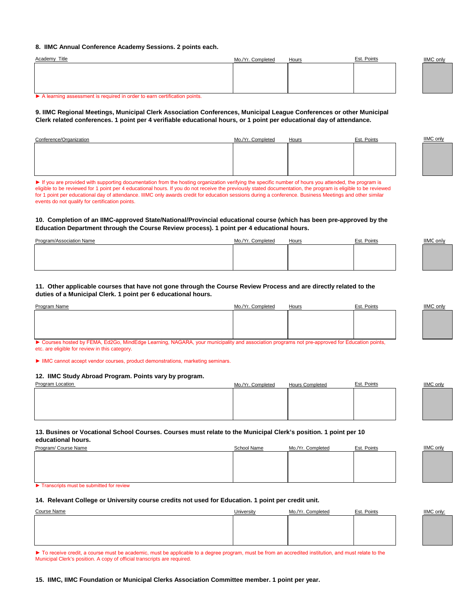#### **8. IIMC Annual Conference Academy Sessions. 2 points each.**

| <b>Academy Title</b>                                                     | Mo./Yr. Completed | Hours | Est. Points | <b>IIMC only</b> |
|--------------------------------------------------------------------------|-------------------|-------|-------------|------------------|
|                                                                          |                   |       |             |                  |
|                                                                          |                   |       |             |                  |
|                                                                          |                   |       |             |                  |
|                                                                          |                   |       |             |                  |
| A learning assessment is required in order to earn certification points. |                   |       |             |                  |

#### **9. IIMC Regional Meetings, Municipal Clerk Association Conferences, Municipal League Conferences or other Municipal Clerk related conferences. 1 point per 4 verifiable educational hours, or 1 point per educational day of attendance.**

| Conference/Organization | Mo./Yr. Completed | <b>Hours</b> | Est. Points | IIMC only |
|-------------------------|-------------------|--------------|-------------|-----------|
|                         |                   |              |             |           |
|                         |                   |              |             |           |
|                         |                   |              |             |           |
|                         |                   |              |             |           |

► If you are provided with supporting documentation from the hosting organization verifying the specific number of hours you attended, the program is eligible to be reviewed for 1 point per 4 educational hours. If you do not receive the previously stated documentation, the program is eligible to be reviewed for 1 point per educational day of attendance. IIIMC only awards credit for education sessions during a conference. Business Meetings and other similar events do not qualify for certification points.

#### **10. Completion of an IIMC-approved State/National/Provincial educational course (which has been pre-approved by the Education Department through the Course Review process). 1 point per 4 educational hours.**

| Program/Association Name | Completed | Hours | Est. Points | <b>IIMC only</b> |
|--------------------------|-----------|-------|-------------|------------------|
|                          |           |       |             |                  |
|                          |           |       |             |                  |
|                          |           |       |             |                  |

#### **11. Other applicable courses that have not gone through the Course Review Process and are directly related to the duties of a Municipal Clerk. 1 point per 6 educational hours.**

| Program Name | Mo./Yr. Completed | Hours | Est. Points | <b>IIMC only</b> |
|--------------|-------------------|-------|-------------|------------------|
|              |                   |       |             |                  |
|              |                   |       |             |                  |
|              |                   |       |             |                  |
|              |                   |       |             |                  |

► Courses hosted by FEMA, Ed2Go, MindEdge Learning, NAGARA, your municipality and association programs not pre-approved for Education points, etc. are eligible for review in this category.

► IIMC cannot accept vendor courses, product demonstrations, marketing seminars.

#### **12. IIMC Study Abroad Program. Points vary by program.**

| Program Location | Mo./Yr. Completed | <b>Hours Completed</b> | Est. Points | <b>IIMC</b> only |
|------------------|-------------------|------------------------|-------------|------------------|
|                  |                   |                        |             |                  |
|                  |                   |                        |             |                  |
|                  |                   |                        |             |                  |
|                  |                   |                        |             |                  |

**13. Busines or Vocational School Courses. Courses must relate to the Municipal Clerk's position. 1 point per 10 educational hours.** 

| Program/ Course Name | School Name | Mo./Yr. Completed | Est. Points | <b>IIMC</b> only |
|----------------------|-------------|-------------------|-------------|------------------|
|                      |             |                   |             |                  |
|                      |             |                   |             |                  |
|                      |             |                   |             |                  |
|                      |             |                   |             |                  |
|                      |             |                   |             |                  |

► Transcripts must be submitted for review

#### **14. Relevant College or University course credits not used for Education. 1 point per credit unit.**

| Course Name | University | Mo./Yr. Completed | Est. Points | <b>IIMC</b> only: |
|-------------|------------|-------------------|-------------|-------------------|
|             |            |                   |             |                   |
|             |            |                   |             |                   |
|             |            |                   |             |                   |
|             |            |                   |             |                   |

▶ To receive credit, a course must be academic, must be applicable to a degree program, must be from an accredited institution, and must relate to the Municipal Clerk's position. A copy of official transcripts are required.